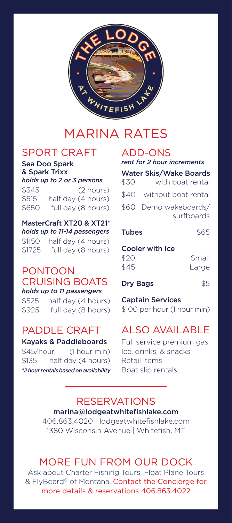

# MARINA RATES

### SPORT CRAFT

Sea Doo Spark & Spark Trixx *holds up to 2 or 3 persons*

\$345 (2 hours) \$515 half day (4 hours) \$650 full day (8 hours)

MasterCraft XT20 & XT21\* *holds up to 11-14 passengers* \$1150 half day (4 hours)

\$1725 full day (8 hours)

# PONTOON CRUISING BOATS

*holds up to 11 passengers* \$525 half day (4 hours) \$925 full day (8 hours)

## PADDLE CRAFT

#### Kayaks & Paddleboards

 $$45/hour$   $(1 hour min)$ \$135 half day (4 hours) *\*2 hour rentals based on availability*

### ADD-ONS

| rent for 2 hour increments |                                     |                  |  |
|----------------------------|-------------------------------------|------------------|--|
| \$30                       | <b>Water Skis/Wake Boards</b>       | with boat rental |  |
|                            | \$40 without boat rental            |                  |  |
|                            | \$60 Demo wakeboards/<br>surfboards |                  |  |
| <b>Tubes</b>               |                                     | \$65             |  |
| いへ                         | <b>Cooler with Ice</b>              | $C_{\rm max}$    |  |

| \$20 | Small |
|------|-------|
| \$45 | Large |
|      |       |

Dry Bags \$5

Captain Services \$100 per hour (1 hour min)

# ALSO AVAILABLE

Full service premium gas Ice, drinks, & snacks Retail items Boat slip rentals

#### RESERVATIONS marina@lodgeatwhitefishlake.com

406.863.4020 | lodgeatwhitefishlake.com 1380 Wisconsin Avenue | Whitefish, MT

## MORE FUN FROM OUR DOCK

Ask about Charter Fishing Tours, Float Plane Tours & FlyBoard® of Montana. Contact the Concierge for more details & reservations 406.863.4022